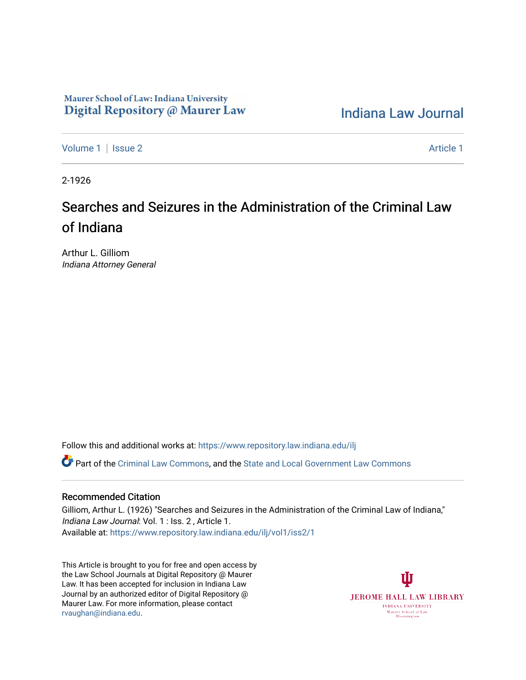# Maurer School of Law: Indiana University Digital Repository @ Maurer Law

[Indiana Law Journal](https://www.repository.law.indiana.edu/ilj) 

[Volume 1](https://www.repository.law.indiana.edu/ilj/vol1) | [Issue 2](https://www.repository.law.indiana.edu/ilj/vol1/iss2) Article 1

2-1926

# Searches and Seizures in the Administration of the Criminal Law of Indiana

Arthur L. Gilliom Indiana Attorney General

Follow this and additional works at: [https://www.repository.law.indiana.edu/ilj](https://www.repository.law.indiana.edu/ilj?utm_source=www.repository.law.indiana.edu%2Filj%2Fvol1%2Fiss2%2F1&utm_medium=PDF&utm_campaign=PDFCoverPages) 

Part of the [Criminal Law Commons,](http://network.bepress.com/hgg/discipline/912?utm_source=www.repository.law.indiana.edu%2Filj%2Fvol1%2Fiss2%2F1&utm_medium=PDF&utm_campaign=PDFCoverPages) and the State and Local Government Law Commons

## Recommended Citation

Gilliom, Arthur L. (1926) "Searches and Seizures in the Administration of the Criminal Law of Indiana," Indiana Law Journal: Vol. 1 : Iss. 2 , Article 1. Available at: [https://www.repository.law.indiana.edu/ilj/vol1/iss2/1](https://www.repository.law.indiana.edu/ilj/vol1/iss2/1?utm_source=www.repository.law.indiana.edu%2Filj%2Fvol1%2Fiss2%2F1&utm_medium=PDF&utm_campaign=PDFCoverPages) 

This Article is brought to you for free and open access by the Law School Journals at Digital Repository @ Maurer Law. It has been accepted for inclusion in Indiana Law Journal by an authorized editor of Digital Repository @ Maurer Law. For more information, please contact [rvaughan@indiana.edu.](mailto:rvaughan@indiana.edu)

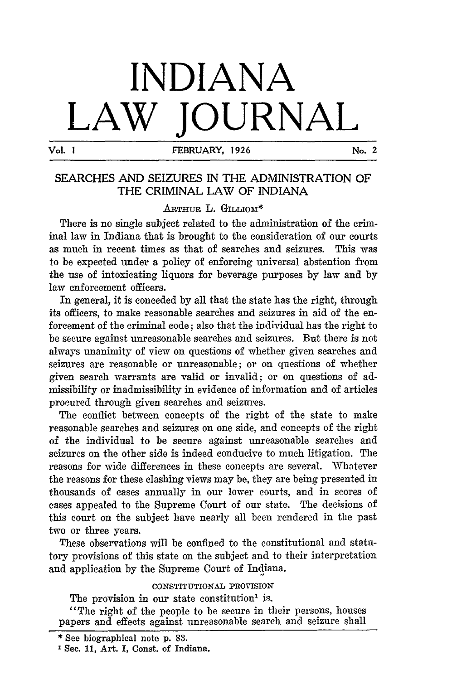# **INDIANA LAW JOURNAL**

**Vol. I FEBRUARY, 1926 No. 2**

# **SEARCHES AND SEIZURES IN THE ADMINISTRATION OF THE CRIMINAL LAW OF** INDIANA

### ARTHUR L. GILLIOM<sup>\*</sup>

There is no single subject related to the administration of the criminal law in Indiana that is brought to the consideration of our courts as much in recent times as that of searches and seizures. This was to be expected under a policy of enforcing universal abstention from the use of intoxicating liquors for beverage purposes by law and by law enforcement officers.

In general, it is conceded by all that the state has the right, through its officers, to make reasonable searches and seizures in aid of the enforcement of the criminal code; also that the individual has the right to be secure against unreasonable searches and seizures. But there is not always unanimity of view on questions of whether given searches and seizures are reasonable or unreasonable; or on questions of whether given search warrants are valid or invalid; or on questions of admissibility or inadmissibility in evidence of information and of articles procured through given searches and seizures.

The conflict between concepts of the right of the state to make reasonable searches and seizures on one side, and concepts of the right of the individual to be secure against unreasonable searches and seizures on the other side is indeed conducive to much litigation. The reasons for wide differences in these concepts are several. Whatever the reasons for these clashing views may be, they are being presented in thousands of cases annually in our lower courts, and in scores of cases appealed to the Supreme Court of our state. The decisions of this court on the subject have nearly all been rendered in the past two or three years.

These observations will be confined to the constitutional and statutory provisions of this state on the subject and to their interpretation and application by the Supreme Court of Indiana.

#### CONSTITUTIONAL **PROVISION**

The provision in our state constitution' is,

"The right of the people to be secure in their persons, houses papers and effects against unreasonable search and seizure shall

<sup>\*</sup> See biographical note **p. 83.**

Sec. 11, Art. I, Const. of Indiana.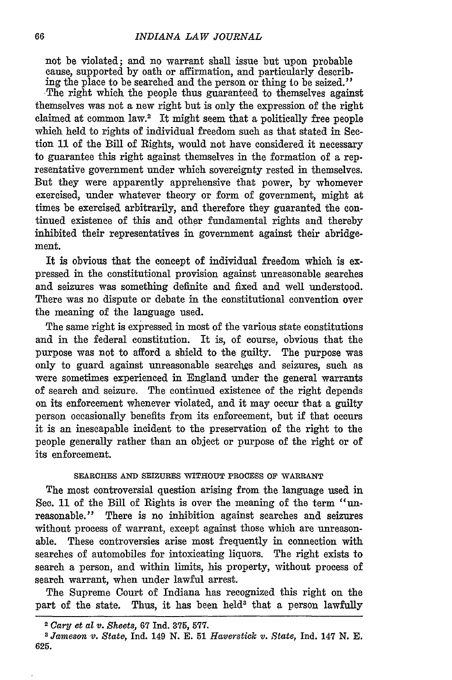not be violated; and no warrant shall issue but upon probable cause, supported by oath or affirmation, and particularly describing the place to be searched and the person or thing to be seized."

The right which the people thus guaranteed to themselves against themselves was not a new right but is only the expression of the right claimed at common law.2 It might seem that a politically free people which held to rights of individual freedom such as that stated in Section 11 of the Bill of Rights, would not have considered it necessary to guarantee this right against themselves in the formation of a representative government under which sovereignty rested in themselves. But they were apparently apprehensive that power, by whomever exercised, under whatever theory or form of government, might at times be exercised arbitrarily, and therefore they guaranted the continued existence of this and other fundamental rights and thereby inhibited their representatives in government against their abridgement.

It is obvious that the concept of individual freedom which is expressed in the constitutional provision against unreasonable searches and seizures was something definite and fixed and well understood. There was no dispute or debate in the constitutional convention over the meaning of the language used.

The same right is expressed in most of the various state constitutions and in the federal constitution. It is, of course, obvious that the purpose was not to afford a shield to the guilty. The purpose was only to guard against unreasonable searches and seizures, such as were sometimes experienced in England under the general warrants of search and seizure. The continued existence of the right depends on its enforcement whenever violated, and it may occur that a guilty person occasionally benefits from its enforcement, but if that occurs it is an inescapable incident to the preservation of the right to the people generally rather than an object or purpose of the right or of its enforcement.

#### **SEARCHES AND SEIZURES WITHOUT PROCESS OF** WARRANT

The most controversial question arising from the language used in See. **11** of the Bill of Rights is over the meaning of the term "unreasonable." There is no inhibition against searches and seizures without process of warrant, except against those which are unreasonable. These controversies arise most frequently in connection with searches of automobiles for intoxicating liquors. The right exists to search a person, and within limits, his property, without process of search warrant, when under lawful arrest.

The Supreme Court of Indiana has recognized this right on the part of the state. Thus, it has been held<sup>3</sup> that a person lawfully

<sup>2</sup> *Cary et* al *v. Sheets,* **67** Ind. **375, 577.**

**<sup>3</sup>** *Jameson v. State,* **Ind. 149** N. **E. 51** *Haverstick v. State,* Ind. 147 N. **E. 625.**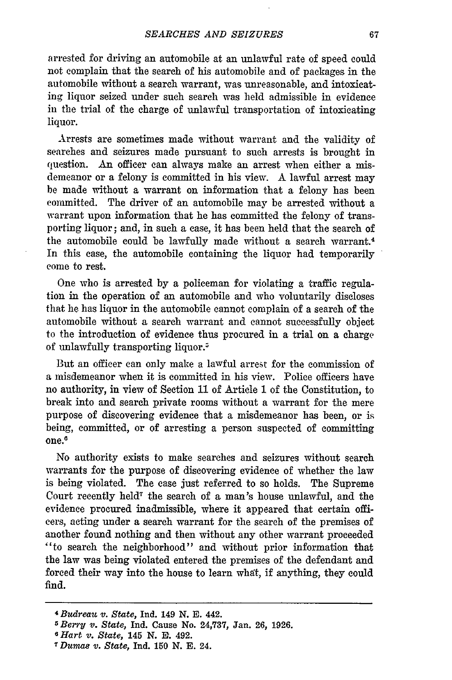arrested for driving an automobile at an unlawful rate of speed could not complain that the search of his automobile and of packages in the automobile without a search warrant, was unreasonable, and intoxicating liquor seized under such search was held admissible in evidence in the trial of the charge of unlawful transportation of intoxicating liquor.

Arrests are sometimes made without warrant and the validity of searches and seizures made pursuant to such arrests is brought in question. An officer can always make an arrest when either a misdemeanor or a felony is committed in his view. A lawful arrest may be made without a warrant on information that a felony has been committed. The driver of an automobile may be arrested without a warrant upon information that he has committed the felony of transporting liquor; and, in such a case, it has been held that the search of the automobile could be lawfully made without a search warrant.4 In this case, the automobile containing the liquor had temporarily come to rest.

One who is arrested by a policeman for violating a traffic regulation in the operation of an automobile and who voluntarily discloses that he has liquor in the automobile cannot complain of a search of the automobile without a search warrant and cannot successfully object to the introduction of evidence thus procured in a trial on a charge of unlawfully transporting liquor.<sup>5</sup>

But an officer can only make a lawful arrest for the commission of a misdemeanor when it is committed in his view. Police officers have no authority, in view of Section 11 of Article **1** of the Constitution, to break into and search private rooms without a warrant for the mere purpose of discovering evidence that a misdemeanor has been, or is being, committed, or of arresting a person suspected of committing one.6

No authority exists to make searches and seizures without search warrants for the purpose of discovering evidence of whether the law is being violated. The case just referred to so holds. The Supreme Court recently held7 the search of a man's house unlawful, and the evidence procured inadmissible, where it appeared that certain officers, acting under a search warrant for the search of the premises of another found nothing and then without any other warrant proceeded "to search the neighborhood" and without prior information that the law was being violated entered the premises of the defendant and forced their way into the house to learn what, if anything, they could find.

*<sup>4</sup>Budreau v. State,* **Ind. 149 N. E. 442.** *<sup>5</sup> Berry v. State,* **Ind. Cause No. 24,737,** Jan. **26, 1926.**

*<sup>6</sup> Hart v. State,* 145 **N. R. 492.**

*<sup>7</sup> Dumas v. State,* **Ind. 150 N. E. 24.**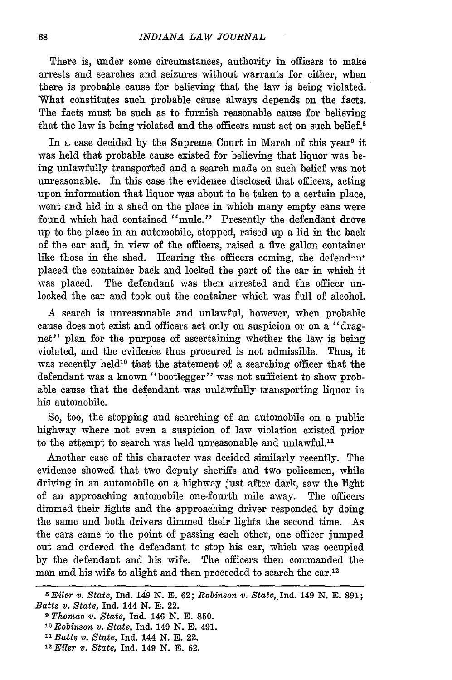There is, under some circumstances, authority in officers to make arrests and searches and seizures without warrants for either, when there is probable cause for believing that the law is being violated. What constitutes such probable cause always depends on the facts. The facts must be such as to furnish reasonable cause for believing that the law is being violated and the officers must act on such belief.<sup>8</sup>

In a case decided by the Supreme Court in March of this year<sup>9</sup> it was held that probable cause existed for believing that liquor was being unlawfully transported and a search made on such belief was not unreasonable. In this case the evidence disclosed that officers, acting upon information that liquor was about to be taken to a certain place, went and hid in a shed on the place in which many empty cans were found which had contained "mule." Presently the defendant drove up to the place in an automobile, stopped, raised up a lid in the back of the car and, in view of the officers, raised a five gallon container like those in the shed. Hearing the officers coming, the defend  $n^*$ placed the container back and locked the part of the car in which it was placed. The defendant was then arrested and the officer unlocked the car and took out the container which was full of alcohol.

A search is unreasonable and unlawful, however, when probable cause does not exist and officers act only on suspicion or on a "dragnet" plan for the purpose of ascertaining whether the law is being violated, and the evidence thus procured is not admissible. Thus, it was recently held<sup>10</sup> that the statement of a searching officer that the defendant was a known "bootlegger" was not sufficient to show probable cause that the defendant was unlawfully transporting liquor in his automobile.

So, too, the stopping and searching of an automobile on a public highway where not even a suspicion of law violation existed prior to the attempt to search was held unreasonable and unlawful.<sup>11</sup>

Another case of this character was decided similarly recently. The evidence showed that two deputy sheriffs and two policemen, while driving in an automobile on a highway just after dark, saw the light of an approaching automobile one-fourth mile away. The officers dimmed their lights and the approaching driver responded by doing the same and both drivers dimmed their lights the second time. As the cars came to the point of passing each other, one officer jumped out and ordered the defendant to stop his car, which was occupied by the defendant and his wife. The officers then commanded the man and his wife to alight and then proceeded to search the car.<sup>12</sup>

*<sup>8</sup> Eiler v. State,* Ind. 149 **N. E. 62;** *Robinson v.* State, *Ind.* **149 N. E. 891;** *Batts v. State,* Ind. 144 N. E. 22.

*<sup>9</sup> Thomas v. State,* Ind. **146 N. E. 850.**

*<sup>&#</sup>x27;0 Robinson v. State,* Ind. 149 **N. E.** 491.

*<sup>&</sup>quot;1 Batts v. State,* Ind. 144 N. **E.** 22.

**<sup>12</sup>** *Eiler v. State,* Ind. **149 N. E. 62.**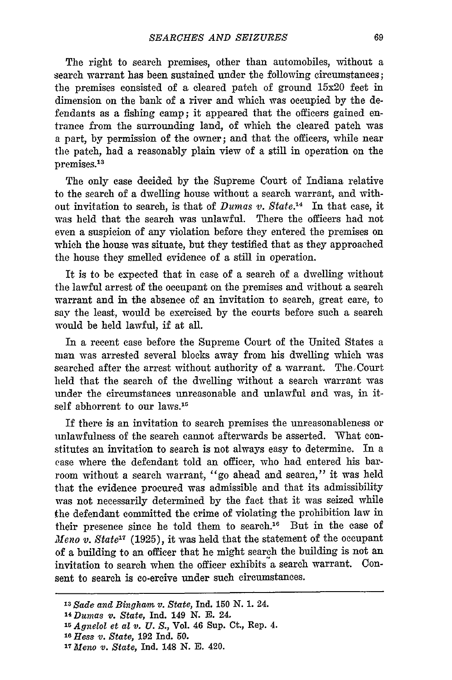The right to search premises, other than automobiles, without a search warrant has been sustained under the following circumstances; the premises consisted of a cleared patch of ground 15x20 feet in dimension on the bank of a river and which was occupied by the defendants as a fishing camp; it appeared that the officers gained entrance from the surrounding land, of which the cleared patch was a part, by permission of the owner; and that the officers, while near the patch, had a reasonably plain view of a still in operation on the premises.<sup>13</sup>

The only case decided by the Supreme Court of Indiana relative to the search of a dwelling house without a search warrant, and without invitation to search, is that of *Dumas v. State.14* In that case, it was held that the search was unlawful. There the officers had not even a suspicion of any violation before they entered the premises on which the house was situate, but they testified that as they approached the house they smelled evidence of a still in operation.

It is to be expected that in case of a search of a dwelling without the lawful arrest of the occupant on the premises and without a search warrant and in the absence of an invitation to search, great care, to say the least, would be exercised by the courts before such a search would be held lawful, if at all.

In a recent case before the Supreme Court of the United States a man was arrested several blocks away from his dwelling which was searched after the arrest without authority of a warrant. The Court held that the search of the dwelling without a search warrant was under the circumstances unreasonable and unlawful and was, in itself abhorrent to our laws.<sup>15</sup>

If there is an invitation to search premises the unreasonableness or unlawfulness of the search cannot afterwards be asserted. What constitutes an invitation to search is not always easy to determine. In a ease where the defendant told an officer, who had entered his barroom without a search warrant, "go ahead and searen," it was held that the evidence procured was admissible and that its admissibility was not necessarily determined by the fact that it was seized while the defendant committed the crime of violating the prohibition law in their presence since he told them to search." But in the case of *Meno v. State'7* (1925), it was held that the statement of the occupant of a building to an officer that he might search the building is not an invitation to search when the officer exhibits a search warrant. Consent to search is co-ercive under such circumstances.

*<sup>13</sup>Sade and Bingham v. State,* **Ind. 150 N. 1.** 24.

*<sup>1</sup> <sup>4</sup> Dumas v. State,* Ind. **149 N. E.** 24.

*<sup>15</sup> Agnelol et al v. U. S.,* Vol. 46 Sup. Ct., Rep. 4.

*<sup>16</sup>Hess v. State,* **192** Ind. **50.**

*<sup>172</sup>Meno v. State,* Ind. **148 N. E.** 420.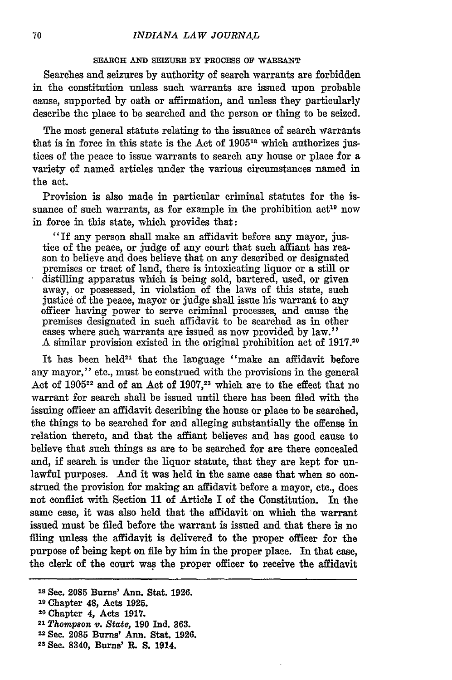#### **SEARCH AND SEIZURE BY PROCESS OF' WARRANT**

Searches and seizures by authority of search warrants are forbidden in the constitution unless such warrants are issued upon probable cause, supported **by** oath or affirmation, and unless they particularly describe the place to be searched and the person or thing to be seized.

The most general statute relating to the issuance of search warrants that is in force in this state is the Act of **190518** which authorizes justices of the peace to issue warrants to search any house or place for a variety of named articles under the various circumstances named in the act.

Provision is also made in particular criminal statutes for the issuance of such warrants, as for example in the prohibition  $act<sup>19</sup>$  now in force in this state, which provides that:

"If any person shall make an affidavit before any mayor, justice of the peace, or judge of any court that such affiant has reason to believe and does believe that on any described or designated premises or tract of land, there is intoxicating liquor or a still or distilling apparatus which is being sold, bartered, used, or given away, or possessed, in violation of the laws of this state, such justice of the peace, mayor or judge shall issue his warrant to any officer having power to serve criminal processes, and cause the premises designated in such affidavit to be searched as in other cases where such warrants are issued as now provided **by** law." **A** similar provision existed in the original prohibition act of **1917.20**

It has been held<sup>21</sup> that the language "make an affidavit before any mayor," etc., must be construed with the provisions in the general Act **of 190522** and of an Act of **1907,23** which are to the effect that no warrant for search shall be issued until there has been filed with the issuing officer an affidavit describing the house or place to be searched, the things to be searched for and alleging substantially the offense in relation thereto, and that the affiant believes and has good cause to believe that such things as are to be searched for are there concealed and, if search is under the liquor statute, that they are kept for **un**lawful purposes. And it was held in the same case that when so construed the provision for making an affidavit before a mayor, etc., does not conflict with Section 11 of Article I of the Constitution. In the same case, it was also held that the affidavit on which the warrant issued must be filed before the warrant is issued and that there is no filing unless the affidavit is delivered to the proper officer for the purpose of being kept on file **by** him in the proper place. In that case, the clerk of the court was the proper officer to receive the affidavit

- $21$  Thompson v. State, 190 Ind. 363.
- **<sup>22</sup>**Sec. **2085 Burns' Ann. Stat. 1926.**
- <sup>23</sup> Sec. 8340, Burns' R. S. 1914.

<sup>18</sup>Sec. **2085** Burns' Ann. Stat. **1926.**

**<sup>19</sup> Chapter** 48, Acts **1925.**

**<sup>20</sup>**Chapter *4,* Acts **1917.**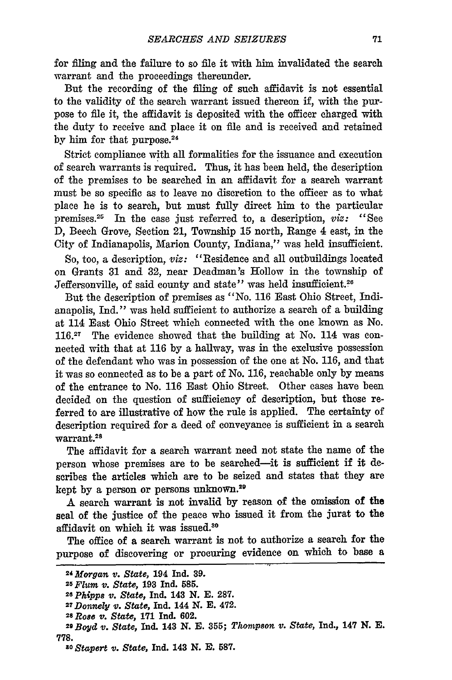for **fling** and the failure to so file it with him invalidated the search warrant and the proceedings thereunder.

But the recording of the filing of such affidavit is not essential to the validity of the search warrant issued thereon if, with the purpose to file it, the affidavit is deposited with the officer charged with the duty to receive and place it on file and is received and retained **by** him for that purpose. 24

Strict compliance with all formalities for the issuance and execution of search warrants is required. Thus, it has been held, the description of the premises to be searched in an affidavit for a search warrant must be so specific as to leave no discretion to the officer as to what place he is to search, but must fully direct him to the particular premises.<sup>25</sup> In the case just referred to, a description, *viz*: "See D, Beech Grove, Section 21, Township **15** north, Range 4 east, in the City of Indianapolis, Marion County, Indiana," was held insufficient.

So, too, a description, *viz:* "Residence and all outbuildings located on Grants 31 and 32, near Deadman's Hollow in the township of Jeffersonville, of said county and state" was held insufficient.<sup>26</sup>

But the description of premises as "No. 116 East Ohio Street, Indianapolis, Ind." was held sufficient to authorize a search of a building at 114 East Ohio Street which connected with the one known as No. 116.<sup>27</sup> The evidence showed that the building at No. 114 was connected with that at 116 by a hallway, was in the exclusive possession of the defendant who was in possession of the one at No. 116, and that it was so connected as to be a part of No. 116, reachable only by means of the entrance to No. 116 East Ohio Street. Other cases have been decided on the question of sufficiency of description, but those referred to are illustrative of how the rule is applied. The certainty of description required for a deed of conveyance is sufficient in a search  $\frac{1}{2}$  warrant.<sup>21</sup>

The affidavit for a search warrant need not state the name of the person whose premises are to be searched-it is sufficient if it describes the articles which are to be seized and states that they are kept by a person or persons unknown.2"

A search warrant is not invalid by reason of the omission of the seal of the justice of the peace who issued it from the jurat to the affidavit on which it was issued.30

The office of a search warrant is not to authorize a search for the purpose of discovering or procuring evidence on which to base a

*<sup>24</sup>Morgan v. State,* 194 Ind. **39.** *<sup>2</sup>*

*<sup>5</sup>Flum* ii. *State,* **193** Ind. **585.**

*<sup>26</sup> Phipps v. State,* Ind. 143 **N. E. 287.**

*<sup>27</sup>Donnely v. State,* **Ind.** 144 **N. E.** 472. *2*

*<sup>8</sup> Rose V. State,* **171** Ind. **602.**

*<sup>29</sup>Boyd v. State,* Ind. **143 N. E. 355;** *Thompson v. State,* **Ind., 147 N. E. 778.***o Stapert v. State,* **Ind. 143 N. E. 587.**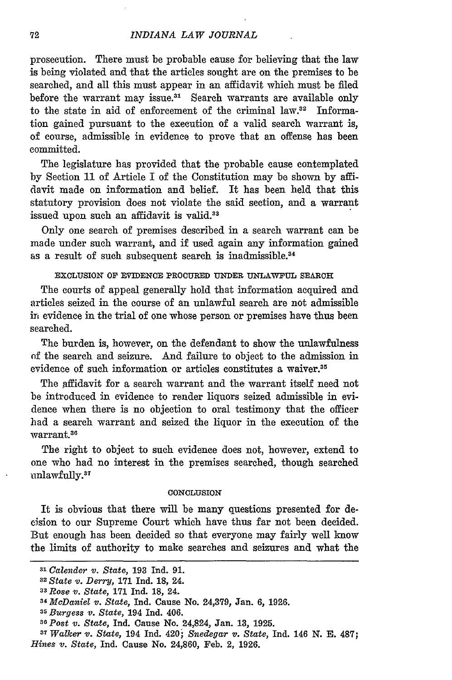#### *INDIANA LAW JOURNAL*

prosecution. There must be probable cause for believing that the law is being violated and that the articles sought are on the premises to be searched, and all this must appear in an affidavit which must be filed before the warrant may issue.<sup>31</sup> Search warrants are available only to the state in aid of enforcement of the criminal law. $32$  Information gained pursuant to the execution of a valid search warrant is, of course, admissible in evidence to prove that an offense has been committed.

The legislature has provided that the probable cause contemplated by Section 11 of Article I of the Constitution may be shown by affidavit made on information and belief. It has been held that this statutory provision does not violate the said section, and a warrant issued upon such an affidavit is valid.<sup>33</sup>

Only one search of premises described in a search warrant can be made under such warrant, and if used again any information gained as a result of such subsequent search is inadmissible.<sup>34</sup>

**EXCLUSION OF EVIDENCE ROCURED UNDER UNLAWFUL SEARCH**

The courts of appeal generally hold that information acquired and articles seized in the course of an unlawful search are not admissible **it,** evidence in the trial of one whose person or premises have thus been searched.

The burden is, however, on the defendant to show the unlawfulness of the search and seizure. And failure to object to the admission in evidence of such information or articles constitutes a waiver.<sup>35</sup>

The affidavit for a search warrant and the warrant itself need not be introduced in evidence to render liquors seized admissible in evidence when there is no objection to oral testimony that the officer had a search warrant and seized the liquor in the execution of the warrant.38

The right to object to such evidence does not, however, extend to one who had no interest in the premises searched, though searched unlawfully.<sup>37</sup>

#### **CONCLUSION**

It is obvious that there will be many questions presented for decision to our Supreme Court which have thus far not been decided. But enough has been decided so that everyone may fairly well know the limits of authority to make searches and seizures and what the

*<sup>31</sup>Calender v. State,* **193** Ind. 91. *<sup>3</sup> State v. Derry,* **171** Ind. 18, 24.

*<sup>3</sup> Rose v. State,* **171** Ind. 18, 24.

*<sup>34</sup> McDaniel v. State,* Ind. Cause No. 24,379, Jan. 6, 1926.

<sup>&</sup>lt;sup>35</sup> Burgess v. State, 194 Ind. 406.

*<sup>5</sup>Burgess v. State,* 194 Ind. 406. *<sup>36</sup>Post v. State,* Ind. Cause No. 24,824, Jan. **13,** 1925.

*<sup>37</sup>Walker v. State,* 194 Ind. 420; *Snedegar v. State,* Ind. 146 **N. E.** 487;

*Hines v. State,* Ind. Cause No. 24,860, Feb. 2, 1926.